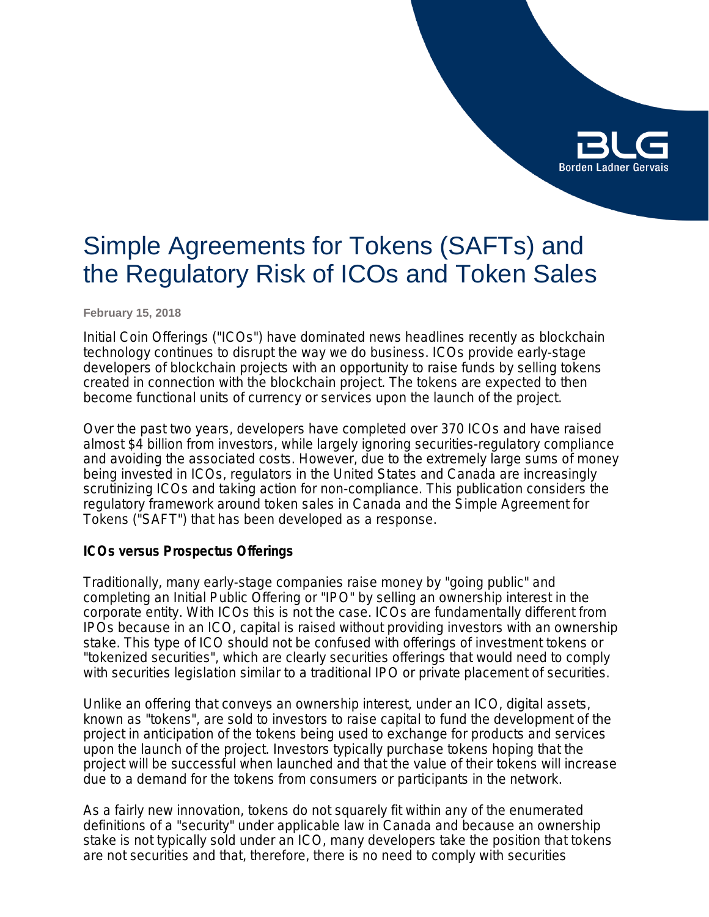# **Borden Ladner Gervais**

# Simple Agreements for Tokens (SAFTs) and the Regulatory Risk of ICOs and Token Sales

**February 15, 2018**

Initial Coin Offerings ("ICOs") have dominated news headlines recently as blockchain technology continues to disrupt the way we do business. ICOs provide early-stage developers of blockchain projects with an opportunity to raise funds by selling tokens created in connection with the blockchain project. The tokens are expected to then become functional units of currency or services upon the launch of the project.

Over the past two years, developers have completed over 370 ICOs and have raised almost \$4 billion from investors, while largely ignoring securities-regulatory compliance and avoiding the associated costs. However, due to the extremely large sums of money being invested in ICOs, regulators in the United States and Canada are increasingly scrutinizing ICOs and taking action for non-compliance. This publication considers the regulatory framework around token sales in Canada and the Simple Agreement for Tokens ("SAFT") that has been developed as a response.

### **ICOs versus Prospectus Offerings**

Traditionally, many early-stage companies raise money by "going public" and completing an Initial Public Offering or "IPO" by selling an ownership interest in the corporate entity. With ICOs this is not the case. ICOs are fundamentally different from IPOs because in an ICO, capital is raised without providing investors with an ownership stake. This type of ICO should not be confused with offerings of investment tokens or "tokenized securities", which are clearly securities offerings that would need to comply with securities legislation similar to a traditional IPO or private placement of securities.

Unlike an offering that conveys an ownership interest, under an ICO, digital assets, known as "tokens", are sold to investors to raise capital to fund the development of the project in anticipation of the tokens being used to exchange for products and services upon the launch of the project. Investors typically purchase tokens hoping that the project will be successful when launched and that the value of their tokens will increase due to a demand for the tokens from consumers or participants in the network.

As a fairly new innovation, tokens do not squarely fit within any of the enumerated definitions of a "security" under applicable law in Canada and because an ownership stake is not typically sold under an ICO, many developers take the position that tokens are not securities and that, therefore, there is no need to comply with securities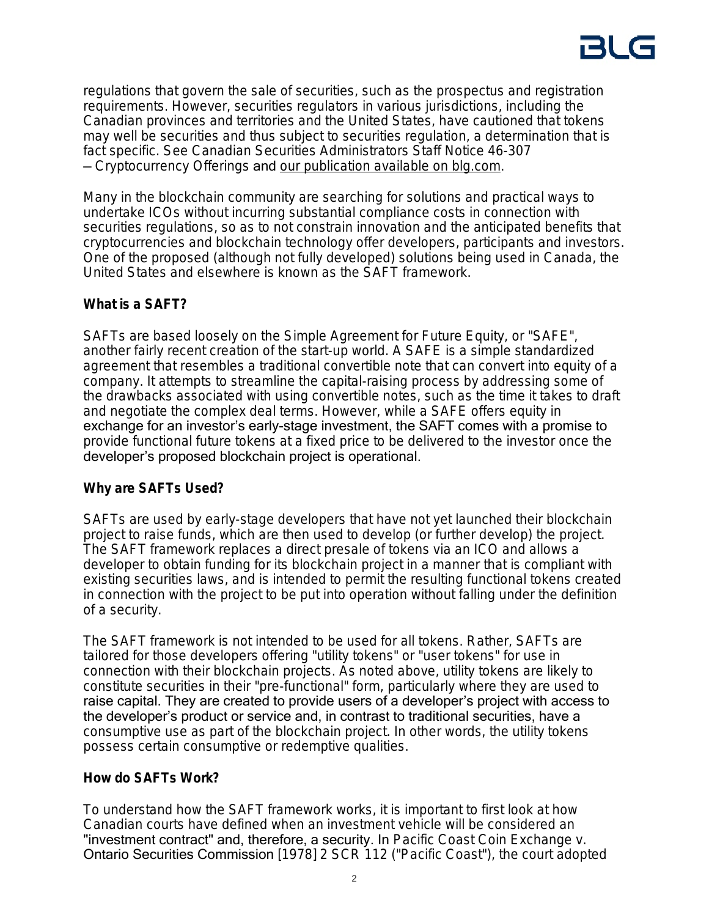regulations that govern the sale of securities, such as the prospectus and registration requirements. However, securities regulators in various jurisdictions, including the Canadian provinces and territories and the United States, have cautioned that tokens may well be securities and thus subject to securities regulation, a determination that is fact specific. See Canadian Securities Administrators Staff Notice 46-307 — *Cryptocurrency Offerings* and [our publication available on blg.com.](https://blg.com/en/News-And-Publications/Pages/Publication_5168.aspx)

Many in the blockchain community are searching for solutions and practical ways to undertake ICOs without incurring substantial compliance costs in connection with securities regulations, so as to not constrain innovation and the anticipated benefits that cryptocurrencies and blockchain technology offer developers, participants and investors. One of the proposed (although not fully developed) solutions being used in Canada, the United States and elsewhere is known as the SAFT framework.

# **What is a SAFT?**

SAFTs are based loosely on the Simple Agreement for Future Equity, or "SAFE", another fairly recent creation of the start-up world. A SAFE is a simple standardized agreement that resembles a traditional convertible note that can convert into equity of a company. It attempts to streamline the capital-raising process by addressing some of the drawbacks associated with using convertible notes, such as the time it takes to draft and negotiate the complex deal terms. However, while a SAFE offers equity in exchange for an investor's early-stage investment, the SAFT comes with a promise to provide functional future tokens at a fixed price to be delivered to the investor once the developer's proposed blockchain project is operational.

# **Why are SAFTs Used?**

SAFTs are used by early-stage developers that have not yet launched their blockchain project to raise funds, which are then used to develop (or further develop) the project. The SAFT framework replaces a direct presale of tokens via an ICO and allows a developer to obtain funding for its blockchain project in a manner that is compliant with existing securities laws, and is intended to permit the resulting functional tokens created in connection with the project to be put into operation without falling under the definition of a security.

The SAFT framework is not intended to be used for all tokens. Rather, SAFTs are tailored for those developers offering "utility tokens" or "user tokens" for use in connection with their blockchain projects. As noted above, utility tokens are likely to constitute securities in their "pre-functional" form, particularly where they are used to raise capital. They are created to provide users of a developer's project with access to the developer's product or service and, in contrast to traditional securities, have a consumptive use as part of the blockchain project. In other words, the utility tokens possess certain consumptive or redemptive qualities.

# **How do SAFTs Work?**

To understand how the SAFT framework works, it is important to first look at how Canadian courts have defined when an investment vehicle will be considered an "investment contract" and, therefore, a security. In *Pacific Coast Coin Exchange v.*  Ontario Securities Commission [1978] 2 SCR 112 ("*Pacific Coast*"), the court adopted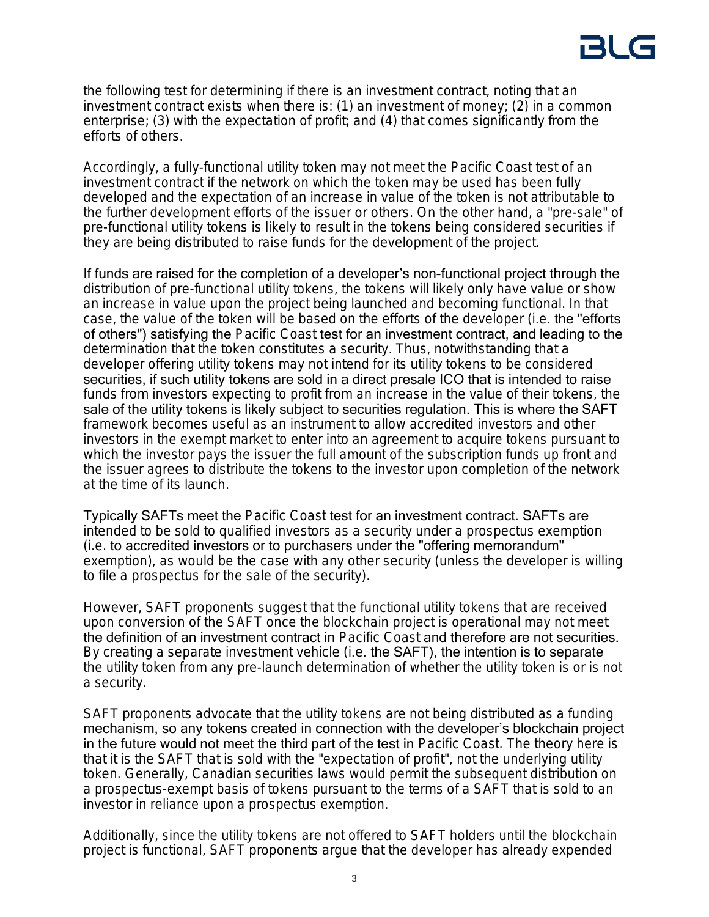the following test for determining if there is an investment contract, noting that an investment contract exists when there is: (1) an investment of money; (2) in a common enterprise; (3) with the expectation of profit; and (4) that comes significantly from the efforts of others.

Accordingly, a fully-functional utility token may not meet the Pacific Coast test of an investment contract if the network on which the token may be used has been fully developed and the expectation of an increase in value of the token is not attributable to the further development efforts of the issuer or others. On the other hand, a "pre-sale" of pre-functional utility tokens is likely to result in the tokens being considered securities if they are being distributed to raise funds for the development of the project.

If funds are raised for the completion of a developer's non-functional project through the distribution of pre-functional utility tokens, the tokens will likely only have value or show an increase in value upon the project being launched and becoming functional. In that case, the value of the token will be based on the efforts of the developer (*i.e.* the "efforts of others") satisfying the *Pacific Coast* test for an investment contract, and leading to the determination that the token constitutes a security. Thus, notwithstanding that a developer offering utility tokens may not intend for its utility tokens to be considered securities, if such utility tokens are sold in a direct presale ICO that is intended to raise funds from investors expecting to profit from an increase in the value of their tokens, the sale of the utility tokens is likely subject to securities regulation. This is where the SAFT framework becomes useful as an instrument to allow accredited investors and other investors in the exempt market to enter into an agreement to acquire tokens pursuant to which the investor pays the issuer the full amount of the subscription funds up front and the issuer agrees to distribute the tokens to the investor upon completion of the network at the time of its launch.

Typically SAFTs meet the *Pacific Coast* test for an investment contract. SAFTs are intended to be sold to qualified investors as a security under a prospectus exemption (*i.e.* to accredited investors or to purchasers under the "offering memorandum" exemption), as would be the case with any other security (unless the developer is willing to file a prospectus for the sale of the security).

However, SAFT proponents suggest that the functional utility tokens that are received upon conversion of the SAFT once the blockchain project is operational may not meet the definition of an investment contract in *Pacific Coast* and therefore are not securities. By creating a separate investment vehicle (*i.e.* the SAFT), the intention is to separate the utility token from any pre-launch determination of whether the utility token is or is not a security.

SAFT proponents advocate that the utility tokens are not being distributed as a funding mechanism, so any tokens created in connection with the developer's blockchain project in the future would not meet the third part of the test in *Pacific Coast*. The theory here is that it is the SAFT that is sold with the "expectation of profit", not the underlying utility token. Generally, Canadian securities laws would permit the subsequent distribution on a prospectus-exempt basis of tokens pursuant to the terms of a SAFT that is sold to an investor in reliance upon a prospectus exemption.

Additionally, since the utility tokens are not offered to SAFT holders until the blockchain project is functional, SAFT proponents argue that the developer has already expended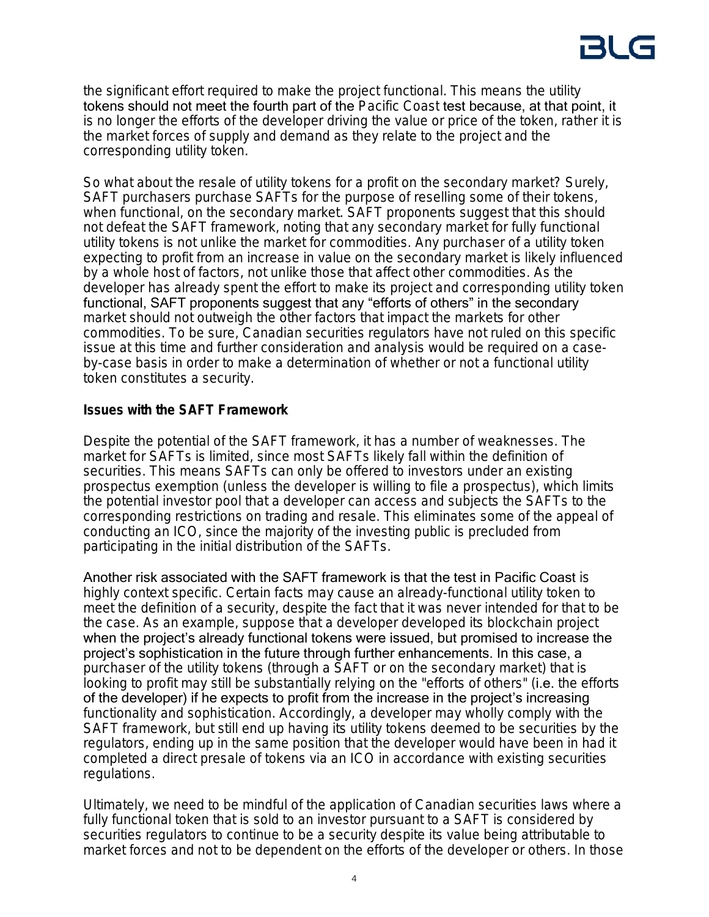# 3U

the significant effort required to make the project functional. This means the utility tokens should not meet the fourth part of the *Pacific Coast* test because, at that point, it is no longer the efforts of the developer driving the value or price of the token, rather it is the market forces of supply and demand as they relate to the project and the corresponding utility token.

So what about the resale of utility tokens for a profit on the secondary market? Surely, SAFT purchasers purchase SAFTs for the purpose of reselling some of their tokens, when functional, on the secondary market. SAFT proponents suggest that this should not defeat the SAFT framework, noting that any secondary market for fully functional utility tokens is not unlike the market for commodities. Any purchaser of a utility token expecting to profit from an increase in value on the secondary market is likely influenced by a whole host of factors, not unlike those that affect other commodities. As the developer has already spent the effort to make its project and corresponding utility token functional, SAFT proponents suggest that any "efforts of others" in the secondary market should not outweigh the other factors that impact the markets for other commodities. To be sure, Canadian securities regulators have not ruled on this specific issue at this time and further consideration and analysis would be required on a caseby-case basis in order to make a determination of whether or not a functional utility token constitutes a security.

## **Issues with the SAFT Framework**

Despite the potential of the SAFT framework, it has a number of weaknesses. The market for SAFTs is limited, since most SAFTs likely fall within the definition of securities. This means SAFTs can only be offered to investors under an existing prospectus exemption (unless the developer is willing to file a prospectus), which limits the potential investor pool that a developer can access and subjects the SAFTs to the corresponding restrictions on trading and resale. This eliminates some of the appeal of conducting an ICO, since the majority of the investing public is precluded from participating in the initial distribution of the SAFTs.

Another risk associated with the SAFT framework is that the test in Pacific Coast is highly context specific. Certain facts may cause an already-functional utility token to meet the definition of a security, despite the fact that it was never intended for that to be the case. As an example, suppose that a developer developed its blockchain project when the project's already functional tokens were issued, but promised to increase the project's sophistication in the future through further enhancements. In this case, a purchaser of the utility tokens (through a SAFT or on the secondary market) that is looking to profit may still be substantially relying on the "efforts of others" (i.e. the efforts of the developer) if he expects to profit from the increase in the project's increasing functionality and sophistication. Accordingly, a developer may wholly comply with the SAFT framework, but still end up having its utility tokens deemed to be securities by the regulators, ending up in the same position that the developer would have been in had it completed a direct presale of tokens via an ICO in accordance with existing securities regulations.

Ultimately, we need to be mindful of the application of Canadian securities laws where a fully functional token that is sold to an investor pursuant to a SAFT is considered by securities regulators to continue to be a security despite its value being attributable to market forces and not to be dependent on the efforts of the developer or others. In those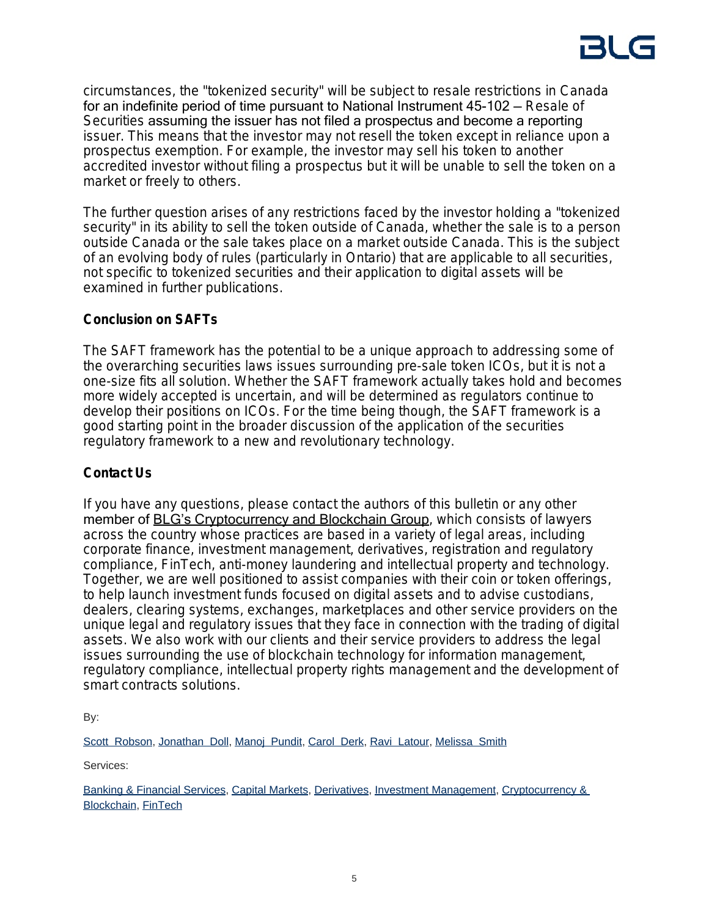circumstances, the "tokenized security" will be subject to resale restrictions in Canada for an indefinite period of time pursuant to National Instrument 45-102 — *Resale of Securities* assuming the issuer has not filed a prospectus and become a reporting issuer. This means that the investor may not resell the token except in reliance upon a prospectus exemption. For example, the investor may sell his token to another accredited investor without filing a prospectus but it will be unable to sell the token on a market or freely to others.

The further question arises of any restrictions faced by the investor holding a "tokenized security" in its ability to sell the token outside of Canada, whether the sale is to a person outside Canada or the sale takes place on a market outside Canada. This is the subject of an evolving body of rules (particularly in Ontario) that are applicable to all securities, not specific to tokenized securities and their application to digital assets will be examined in further publications.

## **Conclusion on SAFTs**

The SAFT framework has the potential to be a unique approach to addressing some of the overarching securities laws issues surrounding pre-sale token ICOs, but it is not a one-size fits all solution. Whether the SAFT framework actually takes hold and becomes more widely accepted is uncertain, and will be determined as regulators continue to develop their positions on ICOs. For the time being though, the SAFT framework is a good starting point in the broader discussion of the application of the securities regulatory framework to a new and revolutionary technology.

# **Contact Us**

If you have any questions, please contact the authors of this bulletin or any other member of **BLG's Cryptocurrency and Blockchain Group**, which consists of lawyers across the country whose practices are based in a variety of legal areas, including corporate finance, investment management, derivatives, registration and regulatory compliance, FinTech, anti-money laundering and intellectual property and technology. Together, we are well positioned to assist companies with their coin or token offerings, to help launch investment funds focused on digital assets and to advise custodians, dealers, clearing systems, exchanges, marketplaces and other service providers on the unique legal and regulatory issues that they face in connection with the trading of digital assets. We also work with our clients and their service providers to address the legal issues surrounding the use of blockchain technology for information management, regulatory compliance, intellectual property rights management and the development of smart contracts solutions.

By:

[Scott Robson,](https://www.blg.com/en/people/r/robson-scott) [Jonathan Doll,](https://www.blg.com/en/people/d/doll-jonathan) [Manoj Pundit](https://www.blg.com/en/people/p/pundit-manoj), [Carol Derk](https://www.blg.com/en/people/d/derk-carol), [Ravi Latour,](https://www.blg.com/en/people/l/latour-ravi) [Melissa Smith](https://www.blg.com/en/people/s/smith-melissa)

Services:

[Banking & Financial Services](https://www.blg.com/en/services/practice-areas/banking-financial-services), [Capital Markets](https://www.blg.com/en/services/practice-areas/capital-markets), [Derivatives,](https://www.blg.com/en/services/practice-areas/capital-markets/derivatives) [Investment Management](https://www.blg.com/en/services/practice-areas/investment-management), [Cryptocurrency &](https://www.blg.com/en/services/industries/financial-services/cryptocurrency-blockchain)  [Blockchain,](https://www.blg.com/en/services/industries/financial-services/cryptocurrency-blockchain) [FinTech](https://www.blg.com/en/services/industries/financial-services/fintech)